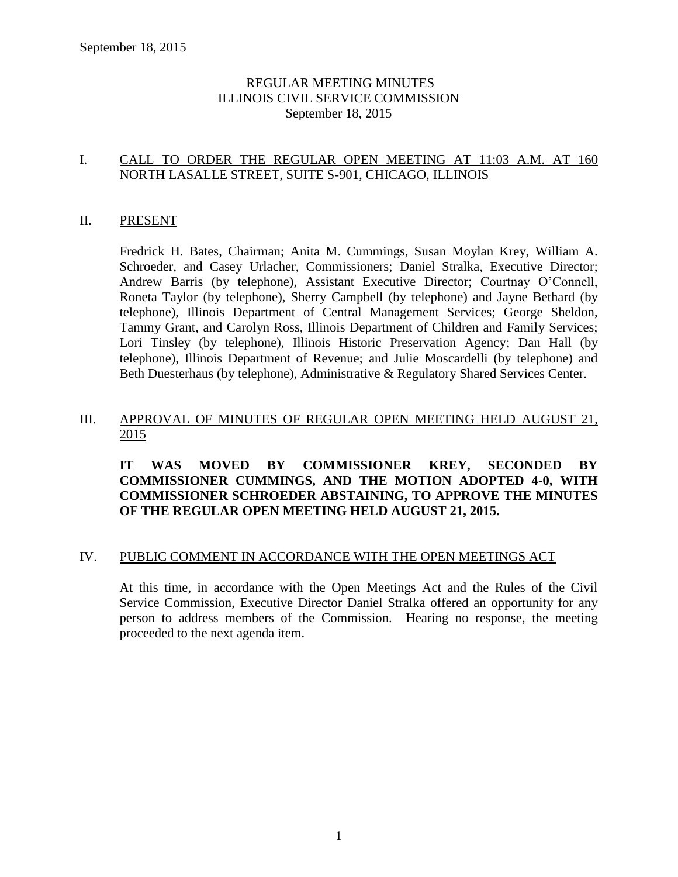## REGULAR MEETING MINUTES ILLINOIS CIVIL SERVICE COMMISSION September 18, 2015

## I. CALL TO ORDER THE REGULAR OPEN MEETING AT 11:03 A.M. AT 160 NORTH LASALLE STREET, SUITE S-901, CHICAGO, ILLINOIS

#### II. PRESENT

Fredrick H. Bates, Chairman; Anita M. Cummings, Susan Moylan Krey, William A. Schroeder, and Casey Urlacher, Commissioners; Daniel Stralka, Executive Director; Andrew Barris (by telephone), Assistant Executive Director; Courtnay O'Connell, Roneta Taylor (by telephone), Sherry Campbell (by telephone) and Jayne Bethard (by telephone), Illinois Department of Central Management Services; George Sheldon, Tammy Grant, and Carolyn Ross, Illinois Department of Children and Family Services; Lori Tinsley (by telephone), Illinois Historic Preservation Agency; Dan Hall (by telephone), Illinois Department of Revenue; and Julie Moscardelli (by telephone) and Beth Duesterhaus (by telephone), Administrative & Regulatory Shared Services Center.

### III. APPROVAL OF MINUTES OF REGULAR OPEN MEETING HELD AUGUST 21, 2015

### **IT WAS MOVED BY COMMISSIONER KREY, SECONDED BY COMMISSIONER CUMMINGS, AND THE MOTION ADOPTED 4-0, WITH COMMISSIONER SCHROEDER ABSTAINING, TO APPROVE THE MINUTES OF THE REGULAR OPEN MEETING HELD AUGUST 21, 2015.**

#### IV. PUBLIC COMMENT IN ACCORDANCE WITH THE OPEN MEETINGS ACT

At this time, in accordance with the Open Meetings Act and the Rules of the Civil Service Commission, Executive Director Daniel Stralka offered an opportunity for any person to address members of the Commission. Hearing no response, the meeting proceeded to the next agenda item.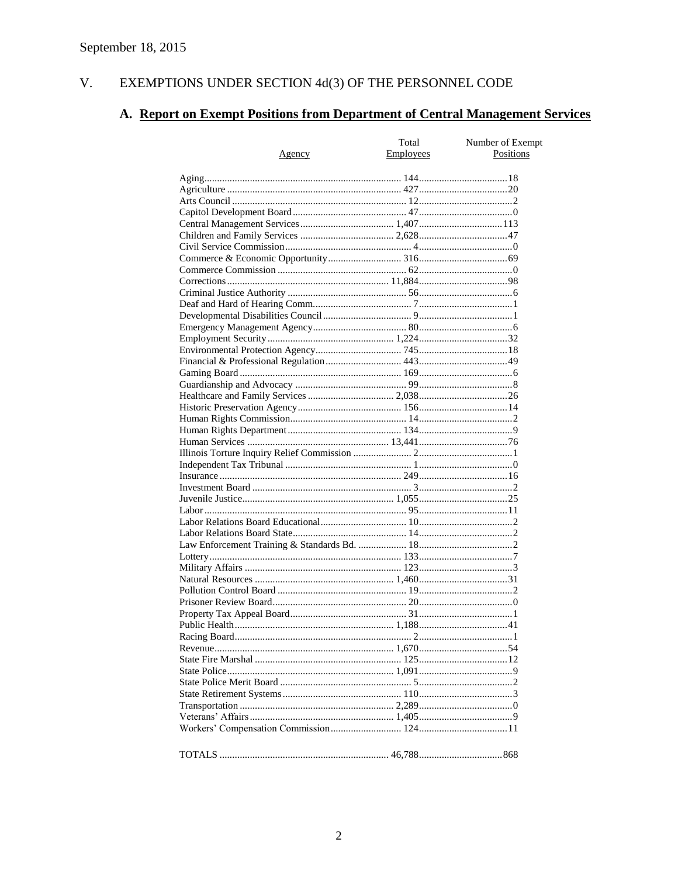#### EXEMPTIONS UNDER SECTION 4d(3) OF THE PERSONNEL CODE V.

## A. Report on Exempt Positions from Department of Central Management Services

|               | Total<br>Employees | Number of Exempt<br>Positions |
|---------------|--------------------|-------------------------------|
| <u>Agency</u> |                    |                               |
|               |                    |                               |
|               |                    |                               |
|               |                    |                               |
|               |                    |                               |
|               |                    |                               |
|               |                    |                               |
|               |                    |                               |
|               |                    |                               |
|               |                    |                               |
|               |                    |                               |
|               |                    |                               |
|               |                    |                               |
|               |                    |                               |
|               |                    |                               |
|               |                    |                               |
|               |                    |                               |
|               |                    |                               |
|               |                    |                               |
|               |                    |                               |
|               |                    |                               |
|               |                    |                               |
|               |                    |                               |
|               |                    |                               |
|               |                    |                               |
|               |                    |                               |
|               |                    |                               |
|               |                    |                               |
|               |                    |                               |
|               |                    |                               |
|               |                    |                               |
|               |                    |                               |
|               |                    |                               |
|               |                    |                               |
|               |                    |                               |
|               |                    |                               |
|               |                    |                               |
|               |                    |                               |
|               |                    |                               |
|               |                    |                               |
|               |                    |                               |
|               |                    |                               |
|               |                    |                               |
|               |                    |                               |
|               |                    |                               |
|               |                    |                               |
|               |                    |                               |
|               |                    |                               |
|               |                    |                               |
|               |                    |                               |
|               |                    |                               |
|               |                    |                               |
|               |                    |                               |
|               |                    |                               |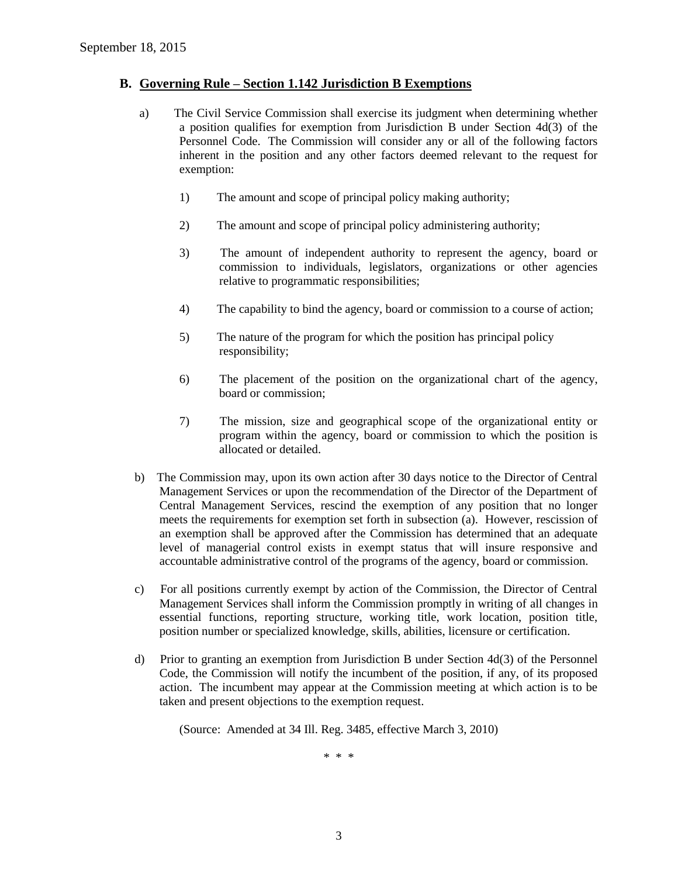#### **B. Governing Rule – Section 1.142 Jurisdiction B Exemptions**

- a) The Civil Service Commission shall exercise its judgment when determining whether a position qualifies for exemption from Jurisdiction B under Section 4d(3) of the Personnel Code. The Commission will consider any or all of the following factors inherent in the position and any other factors deemed relevant to the request for exemption:
	- 1) The amount and scope of principal policy making authority;
	- 2) The amount and scope of principal policy administering authority;
	- 3) The amount of independent authority to represent the agency, board or commission to individuals, legislators, organizations or other agencies relative to programmatic responsibilities;
	- 4) The capability to bind the agency, board or commission to a course of action;
	- 5) The nature of the program for which the position has principal policy responsibility;
	- 6) The placement of the position on the organizational chart of the agency, board or commission;
	- 7) The mission, size and geographical scope of the organizational entity or program within the agency, board or commission to which the position is allocated or detailed.
- b) The Commission may, upon its own action after 30 days notice to the Director of Central Management Services or upon the recommendation of the Director of the Department of Central Management Services, rescind the exemption of any position that no longer meets the requirements for exemption set forth in subsection (a). However, rescission of an exemption shall be approved after the Commission has determined that an adequate level of managerial control exists in exempt status that will insure responsive and accountable administrative control of the programs of the agency, board or commission.
- c) For all positions currently exempt by action of the Commission, the Director of Central Management Services shall inform the Commission promptly in writing of all changes in essential functions, reporting structure, working title, work location, position title, position number or specialized knowledge, skills, abilities, licensure or certification.
- d) Prior to granting an exemption from Jurisdiction B under Section 4d(3) of the Personnel Code, the Commission will notify the incumbent of the position, if any, of its proposed action. The incumbent may appear at the Commission meeting at which action is to be taken and present objections to the exemption request.

(Source: Amended at 34 Ill. Reg. 3485, effective March 3, 2010)

\* \* \*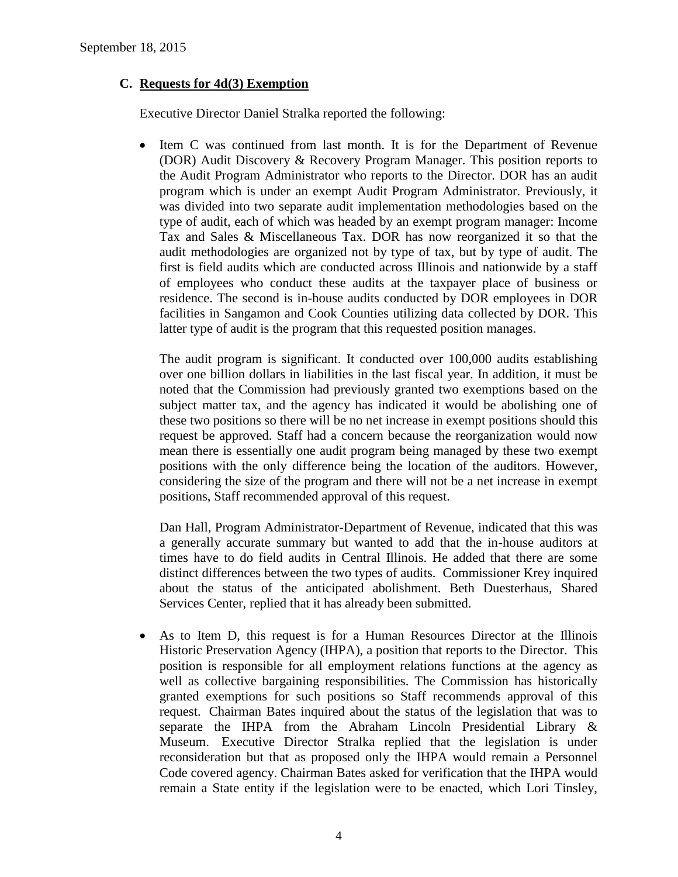## **C. Requests for 4d(3) Exemption**

Executive Director Daniel Stralka reported the following:

 Item C was continued from last month. It is for the Department of Revenue (DOR) Audit Discovery & Recovery Program Manager. This position reports to the Audit Program Administrator who reports to the Director. DOR has an audit program which is under an exempt Audit Program Administrator. Previously, it was divided into two separate audit implementation methodologies based on the type of audit, each of which was headed by an exempt program manager: Income Tax and Sales & Miscellaneous Tax. DOR has now reorganized it so that the audit methodologies are organized not by type of tax, but by type of audit. The first is field audits which are conducted across Illinois and nationwide by a staff of employees who conduct these audits at the taxpayer place of business or residence. The second is in-house audits conducted by DOR employees in DOR facilities in Sangamon and Cook Counties utilizing data collected by DOR. This latter type of audit is the program that this requested position manages.

The audit program is significant. It conducted over 100,000 audits establishing over one billion dollars in liabilities in the last fiscal year. In addition, it must be noted that the Commission had previously granted two exemptions based on the subject matter tax, and the agency has indicated it would be abolishing one of these two positions so there will be no net increase in exempt positions should this request be approved. Staff had a concern because the reorganization would now mean there is essentially one audit program being managed by these two exempt positions with the only difference being the location of the auditors. However, considering the size of the program and there will not be a net increase in exempt positions, Staff recommended approval of this request.

Dan Hall, Program Administrator-Department of Revenue, indicated that this was a generally accurate summary but wanted to add that the in-house auditors at times have to do field audits in Central Illinois. He added that there are some distinct differences between the two types of audits. Commissioner Krey inquired about the status of the anticipated abolishment. Beth Duesterhaus, Shared Services Center, replied that it has already been submitted.

 As to Item D, this request is for a Human Resources Director at the Illinois Historic Preservation Agency (IHPA), a position that reports to the Director. This position is responsible for all employment relations functions at the agency as well as collective bargaining responsibilities. The Commission has historically granted exemptions for such positions so Staff recommends approval of this request. Chairman Bates inquired about the status of the legislation that was to separate the IHPA from the Abraham Lincoln Presidential Library & Museum. Executive Director Stralka replied that the legislation is under reconsideration but that as proposed only the IHPA would remain a Personnel Code covered agency. Chairman Bates asked for verification that the IHPA would remain a State entity if the legislation were to be enacted, which Lori Tinsley,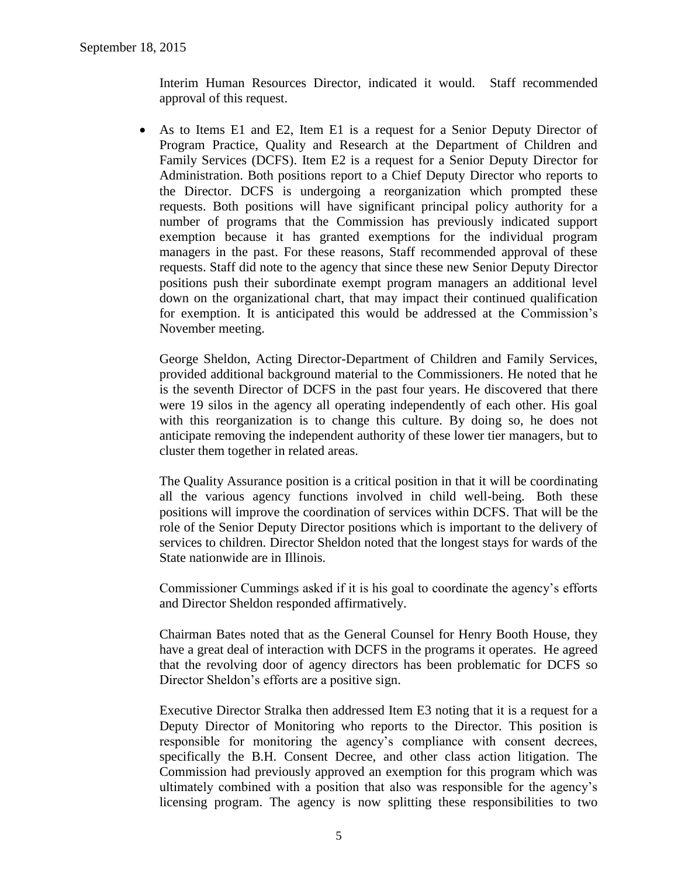Interim Human Resources Director, indicated it would. Staff recommended approval of this request.

 As to Items E1 and E2, Item E1 is a request for a Senior Deputy Director of Program Practice, Quality and Research at the Department of Children and Family Services (DCFS). Item E2 is a request for a Senior Deputy Director for Administration. Both positions report to a Chief Deputy Director who reports to the Director. DCFS is undergoing a reorganization which prompted these requests. Both positions will have significant principal policy authority for a number of programs that the Commission has previously indicated support exemption because it has granted exemptions for the individual program managers in the past. For these reasons, Staff recommended approval of these requests. Staff did note to the agency that since these new Senior Deputy Director positions push their subordinate exempt program managers an additional level down on the organizational chart, that may impact their continued qualification for exemption. It is anticipated this would be addressed at the Commission's November meeting.

George Sheldon, Acting Director-Department of Children and Family Services, provided additional background material to the Commissioners. He noted that he is the seventh Director of DCFS in the past four years. He discovered that there were 19 silos in the agency all operating independently of each other. His goal with this reorganization is to change this culture. By doing so, he does not anticipate removing the independent authority of these lower tier managers, but to cluster them together in related areas.

The Quality Assurance position is a critical position in that it will be coordinating all the various agency functions involved in child well-being. Both these positions will improve the coordination of services within DCFS. That will be the role of the Senior Deputy Director positions which is important to the delivery of services to children. Director Sheldon noted that the longest stays for wards of the State nationwide are in Illinois.

Commissioner Cummings asked if it is his goal to coordinate the agency's efforts and Director Sheldon responded affirmatively.

Chairman Bates noted that as the General Counsel for Henry Booth House, they have a great deal of interaction with DCFS in the programs it operates. He agreed that the revolving door of agency directors has been problematic for DCFS so Director Sheldon's efforts are a positive sign.

Executive Director Stralka then addressed Item E3 noting that it is a request for a Deputy Director of Monitoring who reports to the Director. This position is responsible for monitoring the agency's compliance with consent decrees, specifically the B.H. Consent Decree, and other class action litigation. The Commission had previously approved an exemption for this program which was ultimately combined with a position that also was responsible for the agency's licensing program. The agency is now splitting these responsibilities to two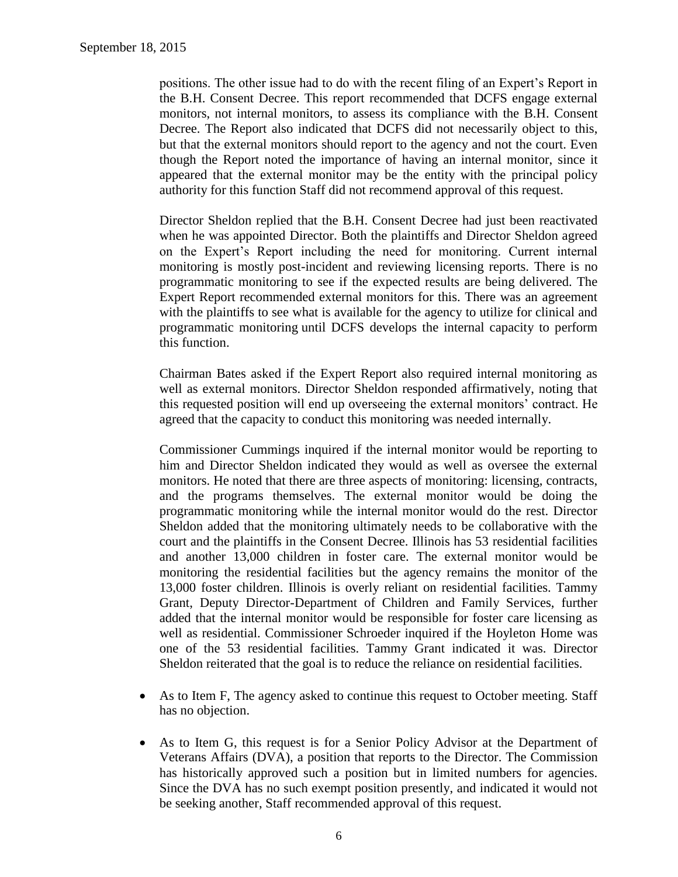positions. The other issue had to do with the recent filing of an Expert's Report in the B.H. Consent Decree. This report recommended that DCFS engage external monitors, not internal monitors, to assess its compliance with the B.H. Consent Decree. The Report also indicated that DCFS did not necessarily object to this, but that the external monitors should report to the agency and not the court. Even though the Report noted the importance of having an internal monitor, since it appeared that the external monitor may be the entity with the principal policy authority for this function Staff did not recommend approval of this request.

Director Sheldon replied that the B.H. Consent Decree had just been reactivated when he was appointed Director. Both the plaintiffs and Director Sheldon agreed on the Expert's Report including the need for monitoring. Current internal monitoring is mostly post-incident and reviewing licensing reports. There is no programmatic monitoring to see if the expected results are being delivered. The Expert Report recommended external monitors for this. There was an agreement with the plaintiffs to see what is available for the agency to utilize for clinical and programmatic monitoring until DCFS develops the internal capacity to perform this function.

Chairman Bates asked if the Expert Report also required internal monitoring as well as external monitors. Director Sheldon responded affirmatively, noting that this requested position will end up overseeing the external monitors' contract. He agreed that the capacity to conduct this monitoring was needed internally.

Commissioner Cummings inquired if the internal monitor would be reporting to him and Director Sheldon indicated they would as well as oversee the external monitors. He noted that there are three aspects of monitoring: licensing, contracts, and the programs themselves. The external monitor would be doing the programmatic monitoring while the internal monitor would do the rest. Director Sheldon added that the monitoring ultimately needs to be collaborative with the court and the plaintiffs in the Consent Decree. Illinois has 53 residential facilities and another 13,000 children in foster care. The external monitor would be monitoring the residential facilities but the agency remains the monitor of the 13,000 foster children. Illinois is overly reliant on residential facilities. Tammy Grant, Deputy Director-Department of Children and Family Services, further added that the internal monitor would be responsible for foster care licensing as well as residential. Commissioner Schroeder inquired if the Hoyleton Home was one of the 53 residential facilities. Tammy Grant indicated it was. Director Sheldon reiterated that the goal is to reduce the reliance on residential facilities.

- As to Item F, The agency asked to continue this request to October meeting. Staff has no objection.
- As to Item G, this request is for a Senior Policy Advisor at the Department of Veterans Affairs (DVA), a position that reports to the Director. The Commission has historically approved such a position but in limited numbers for agencies. Since the DVA has no such exempt position presently, and indicated it would not be seeking another, Staff recommended approval of this request.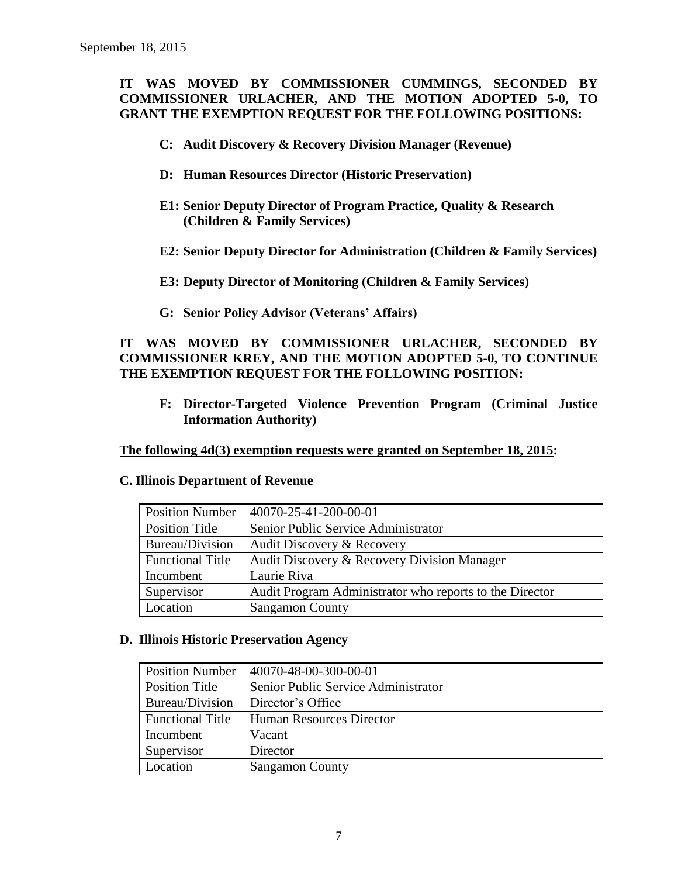## **IT WAS MOVED BY COMMISSIONER CUMMINGS, SECONDED BY COMMISSIONER URLACHER, AND THE MOTION ADOPTED 5-0, TO GRANT THE EXEMPTION REQUEST FOR THE FOLLOWING POSITIONS:**

- **C: Audit Discovery & Recovery Division Manager (Revenue)**
- **D: Human Resources Director (Historic Preservation)**
- **E1: Senior Deputy Director of Program Practice, Quality & Research (Children & Family Services)**
- **E2: Senior Deputy Director for Administration (Children & Family Services)**
- **E3: Deputy Director of Monitoring (Children & Family Services)**
- **G: Senior Policy Advisor (Veterans' Affairs)**

## **IT WAS MOVED BY COMMISSIONER URLACHER, SECONDED BY COMMISSIONER KREY, AND THE MOTION ADOPTED 5-0, TO CONTINUE THE EXEMPTION REQUEST FOR THE FOLLOWING POSITION:**

**F: Director-Targeted Violence Prevention Program (Criminal Justice Information Authority)**

**The following 4d(3) exemption requests were granted on September 18, 2015:**

#### **C. Illinois Department of Revenue**

| <b>Position Number</b>  | 40070-25-41-200-00-01                                   |
|-------------------------|---------------------------------------------------------|
| Position Title          | Senior Public Service Administrator                     |
| Bureau/Division         | Audit Discovery & Recovery                              |
| <b>Functional Title</b> | Audit Discovery & Recovery Division Manager             |
| Incumbent               | Laurie Riva                                             |
| Supervisor              | Audit Program Administrator who reports to the Director |
| Location                | <b>Sangamon County</b>                                  |

#### **D. Illinois Historic Preservation Agency**

| <b>Position Number</b>  | 40070-48-00-300-00-01               |
|-------------------------|-------------------------------------|
| <b>Position Title</b>   | Senior Public Service Administrator |
| Bureau/Division         | Director's Office                   |
| <b>Functional Title</b> | Human Resources Director            |
| Incumbent               | Vacant                              |
| Supervisor              | Director                            |
| Location                | <b>Sangamon County</b>              |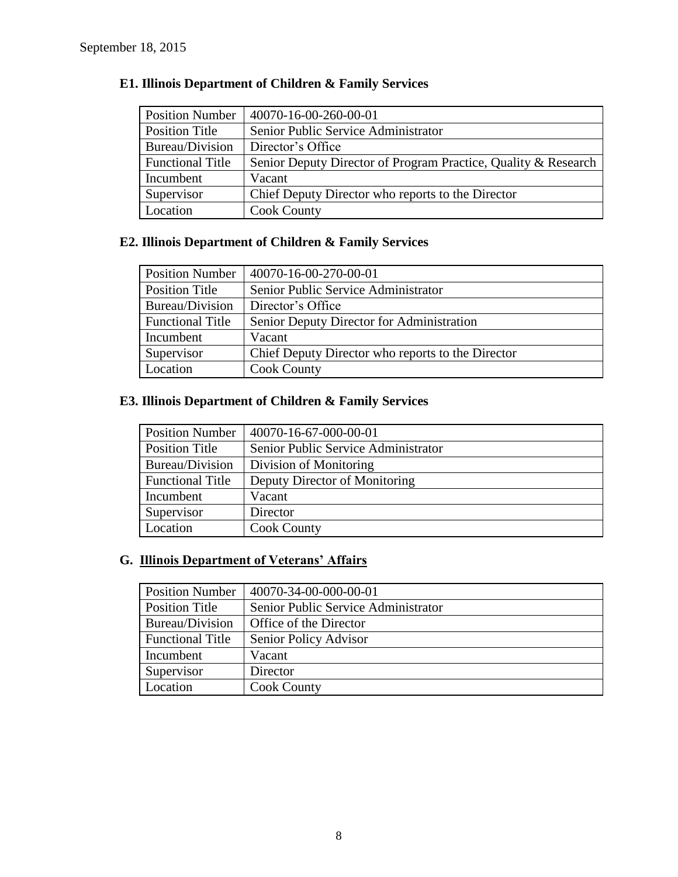| <b>Position Number</b>  | 40070-16-00-260-00-01                                          |
|-------------------------|----------------------------------------------------------------|
| Position Title          | Senior Public Service Administrator                            |
| Bureau/Division         | Director's Office                                              |
| <b>Functional Title</b> | Senior Deputy Director of Program Practice, Quality & Research |
| Incumbent               | Vacant                                                         |
| Supervisor              | Chief Deputy Director who reports to the Director              |
| Location                | <b>Cook County</b>                                             |

## **E1. Illinois Department of Children & Family Services**

## **E2. Illinois Department of Children & Family Services**

| <b>Position Number</b>  | 40070-16-00-270-00-01                             |
|-------------------------|---------------------------------------------------|
| Position Title          | Senior Public Service Administrator               |
| Bureau/Division         | Director's Office                                 |
| <b>Functional Title</b> | Senior Deputy Director for Administration         |
| Incumbent               | Vacant                                            |
| Supervisor              | Chief Deputy Director who reports to the Director |
| Location                | <b>Cook County</b>                                |

## **E3. Illinois Department of Children & Family Services**

| <b>Position Number</b>  | 40070-16-67-000-00-01               |
|-------------------------|-------------------------------------|
| <b>Position Title</b>   | Senior Public Service Administrator |
| Bureau/Division         | Division of Monitoring              |
| <b>Functional Title</b> | Deputy Director of Monitoring       |
| Incumbent               | Vacant                              |
| Supervisor              | Director                            |
| Location                | <b>Cook County</b>                  |

# **G. Illinois Department of Veterans' Affairs**

| <b>Position Number</b>  | 40070-34-00-000-00-01               |
|-------------------------|-------------------------------------|
| <b>Position Title</b>   | Senior Public Service Administrator |
| Bureau/Division         | Office of the Director              |
| <b>Functional Title</b> | Senior Policy Advisor               |
| Incumbent               | Vacant                              |
| Supervisor              | Director                            |
| Location                | <b>Cook County</b>                  |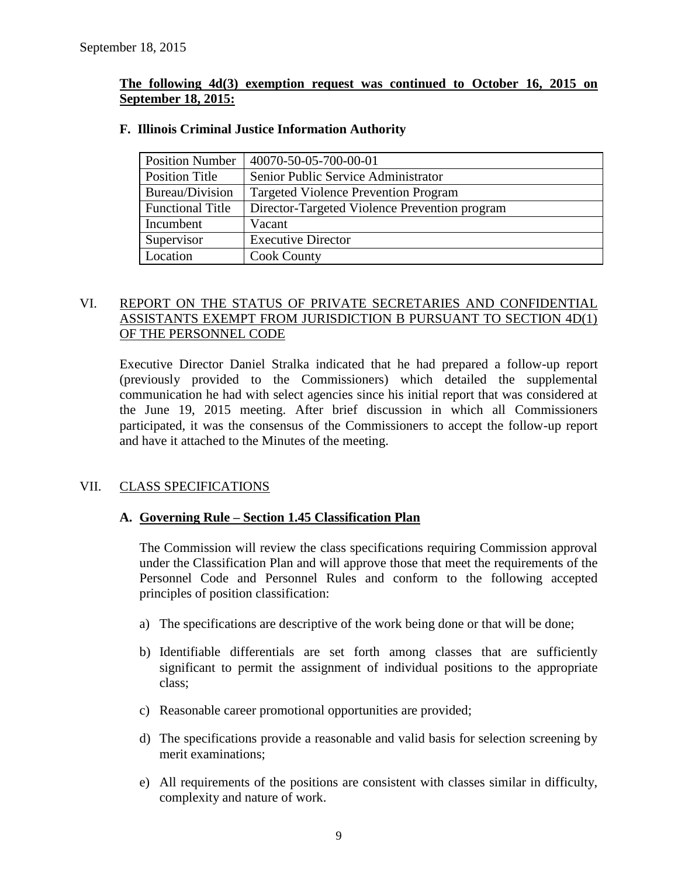#### **The following 4d(3) exemption request was continued to October 16, 2015 on September 18, 2015:**

| <b>Position Number</b>  | 40070-50-05-700-00-01                         |
|-------------------------|-----------------------------------------------|
| Position Title          | Senior Public Service Administrator           |
| Bureau/Division         | <b>Targeted Violence Prevention Program</b>   |
| <b>Functional Title</b> | Director-Targeted Violence Prevention program |
| Incumbent               | Vacant                                        |
| Supervisor              | <b>Executive Director</b>                     |
| Location                | <b>Cook County</b>                            |

#### **F. Illinois Criminal Justice Information Authority**

## VI. REPORT ON THE STATUS OF PRIVATE SECRETARIES AND CONFIDENTIAL ASSISTANTS EXEMPT FROM JURISDICTION B PURSUANT TO SECTION 4D(1) OF THE PERSONNEL CODE

Executive Director Daniel Stralka indicated that he had prepared a follow-up report (previously provided to the Commissioners) which detailed the supplemental communication he had with select agencies since his initial report that was considered at the June 19, 2015 meeting. After brief discussion in which all Commissioners participated, it was the consensus of the Commissioners to accept the follow-up report and have it attached to the Minutes of the meeting.

## VII. CLASS SPECIFICATIONS

## **A. Governing Rule – Section 1.45 Classification Plan**

The Commission will review the class specifications requiring Commission approval under the Classification Plan and will approve those that meet the requirements of the Personnel Code and Personnel Rules and conform to the following accepted principles of position classification:

- a) The specifications are descriptive of the work being done or that will be done;
- b) Identifiable differentials are set forth among classes that are sufficiently significant to permit the assignment of individual positions to the appropriate class;
- c) Reasonable career promotional opportunities are provided;
- d) The specifications provide a reasonable and valid basis for selection screening by merit examinations;
- e) All requirements of the positions are consistent with classes similar in difficulty, complexity and nature of work.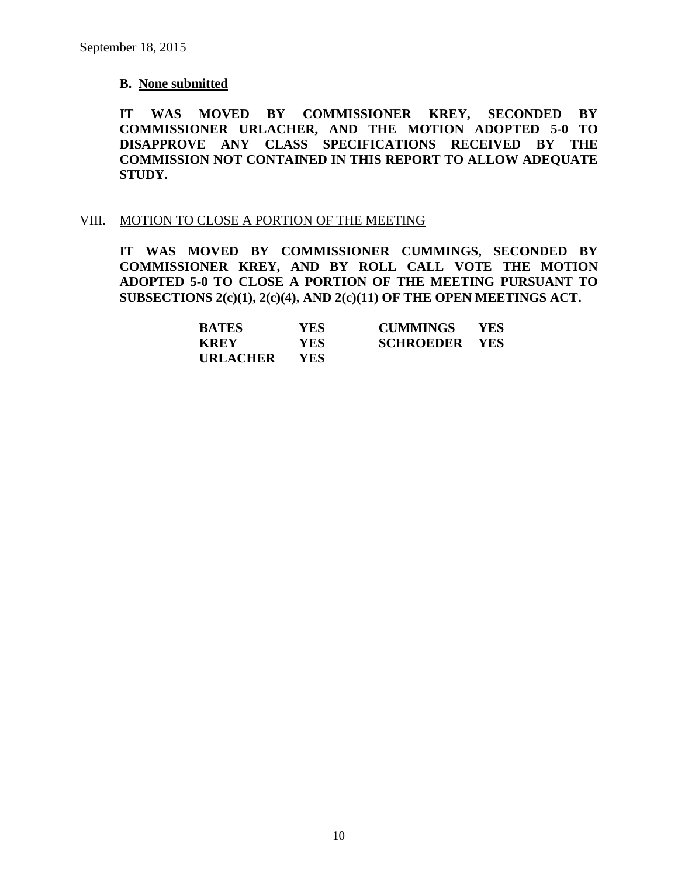#### **B. None submitted**

**IT WAS MOVED BY COMMISSIONER KREY, SECONDED BY COMMISSIONER URLACHER, AND THE MOTION ADOPTED 5-0 TO DISAPPROVE ANY CLASS SPECIFICATIONS RECEIVED BY THE COMMISSION NOT CONTAINED IN THIS REPORT TO ALLOW ADEQUATE STUDY.** 

#### VIII. MOTION TO CLOSE A PORTION OF THE MEETING

**IT WAS MOVED BY COMMISSIONER CUMMINGS, SECONDED BY COMMISSIONER KREY, AND BY ROLL CALL VOTE THE MOTION ADOPTED 5-0 TO CLOSE A PORTION OF THE MEETING PURSUANT TO SUBSECTIONS 2(c)(1), 2(c)(4), AND 2(c)(11) OF THE OPEN MEETINGS ACT.**

| <b>BATES</b> | YES.       | <b>CUMMINGS</b>      | <b>YES</b> |
|--------------|------------|----------------------|------------|
| <b>KREY</b>  | YES .      | <b>SCHROEDER YES</b> |            |
| URLACHER     | <b>YES</b> |                      |            |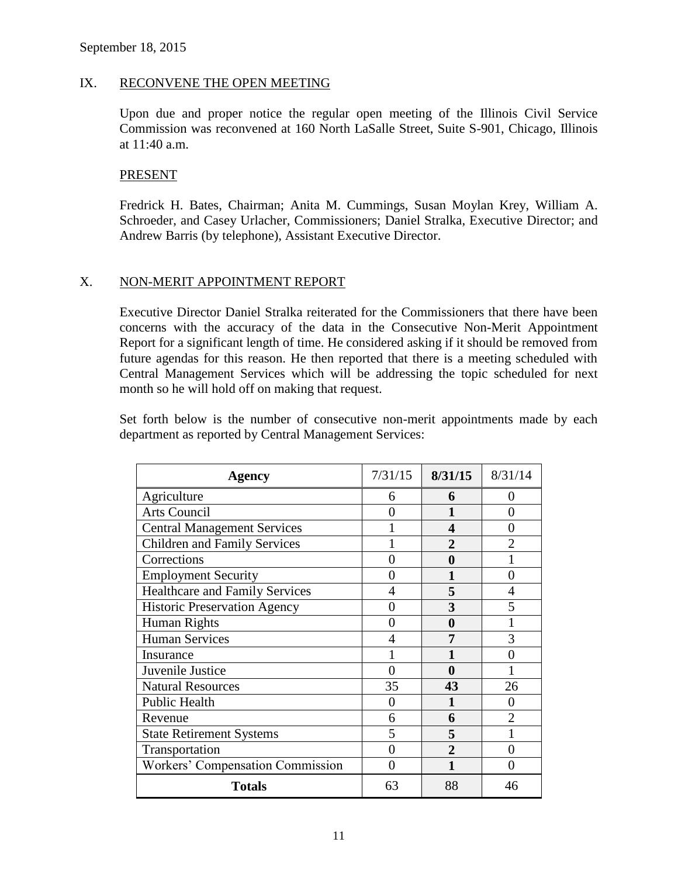#### IX. RECONVENE THE OPEN MEETING

Upon due and proper notice the regular open meeting of the Illinois Civil Service Commission was reconvened at 160 North LaSalle Street, Suite S-901, Chicago, Illinois at 11:40 a.m.

#### PRESENT

Fredrick H. Bates, Chairman; Anita M. Cummings, Susan Moylan Krey, William A. Schroeder, and Casey Urlacher, Commissioners; Daniel Stralka, Executive Director; and Andrew Barris (by telephone), Assistant Executive Director.

### X. NON-MERIT APPOINTMENT REPORT

Executive Director Daniel Stralka reiterated for the Commissioners that there have been concerns with the accuracy of the data in the Consecutive Non-Merit Appointment Report for a significant length of time. He considered asking if it should be removed from future agendas for this reason. He then reported that there is a meeting scheduled with Central Management Services which will be addressing the topic scheduled for next month so he will hold off on making that request.

Set forth below is the number of consecutive non-merit appointments made by each department as reported by Central Management Services:

| <b>Agency</b>                           | 7/31/15 | 8/31/15        | 8/31/14        |
|-----------------------------------------|---------|----------------|----------------|
| Agriculture                             | 6       | 6              | 0              |
| <b>Arts Council</b>                     | ∩       | 1              | 0              |
| <b>Central Management Services</b>      |         | 4              | 0              |
| <b>Children and Family Services</b>     |         | $\mathbf{c}$   |                |
| Corrections                             | 0       | 0              |                |
| <b>Employment Security</b>              | 0       |                | 0              |
| <b>Healthcare and Family Services</b>   | 4       | 5              |                |
| <b>Historic Preservation Agency</b>     | 0       | 3              | 5              |
| Human Rights                            | 0       | 0              |                |
| <b>Human Services</b>                   | 4       | 7              | 3              |
| Insurance                               |         |                |                |
| Juvenile Justice                        | 0       | 0              |                |
| <b>Natural Resources</b>                | 35      | 43             | 26             |
| <b>Public Health</b>                    | 0       |                |                |
| Revenue                                 | 6       | 6              | $\mathfrak{D}$ |
| <b>State Retirement Systems</b>         | 5       | 5              |                |
| Transportation                          | 0       | $\overline{2}$ | 0              |
| <b>Workers' Compensation Commission</b> | 0       |                |                |
| <b>Totals</b>                           | 63      | 88             | 46             |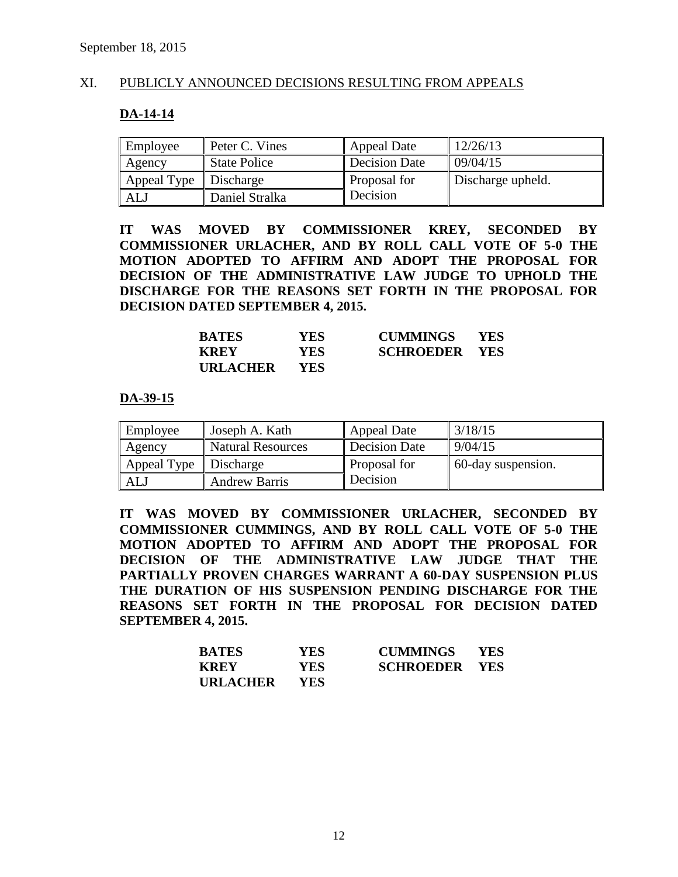#### XI. PUBLICLY ANNOUNCED DECISIONS RESULTING FROM APPEALS

#### **DA-14-14**

| Employee    | Peter C. Vines      | Appeal Date         | 12/26/13          |
|-------------|---------------------|---------------------|-------------------|
| Agency      | <b>State Police</b> | Decision Date       | 09/04/15          |
| Appeal Type | Discharge           | <b>Proposal for</b> | Discharge upheld. |
| <b>AL</b>   | Daniel Stralka      | <i>Decision</i>     |                   |

**IT WAS MOVED BY COMMISSIONER KREY, SECONDED BY COMMISSIONER URLACHER, AND BY ROLL CALL VOTE OF 5-0 THE MOTION ADOPTED TO AFFIRM AND ADOPT THE PROPOSAL FOR DECISION OF THE ADMINISTRATIVE LAW JUDGE TO UPHOLD THE DISCHARGE FOR THE REASONS SET FORTH IN THE PROPOSAL FOR DECISION DATED SEPTEMBER 4, 2015.**

| <b>BATES</b>    | YES        | <b>CUMMINGS</b>      | <b>YES</b> |
|-----------------|------------|----------------------|------------|
| <b>KREY</b>     | YES.       | <b>SCHROEDER YES</b> |            |
| <b>URLACHER</b> | <b>YES</b> |                      |            |

**DA-39-15**

| Employee    | Joseph A. Kath           | <b>Appeal Date</b>  | 3/18/15            |
|-------------|--------------------------|---------------------|--------------------|
| Agency      | <b>Natural Resources</b> | Decision Date       | 9/04/15            |
| Appeal Type | Discharge                | <b>Proposal for</b> | 60-day suspension. |
| ALJ         | <b>Andrew Barris</b>     | Decision            |                    |

**IT WAS MOVED BY COMMISSIONER URLACHER, SECONDED BY COMMISSIONER CUMMINGS, AND BY ROLL CALL VOTE OF 5-0 THE MOTION ADOPTED TO AFFIRM AND ADOPT THE PROPOSAL FOR DECISION OF THE ADMINISTRATIVE LAW JUDGE THAT THE PARTIALLY PROVEN CHARGES WARRANT A 60-DAY SUSPENSION PLUS THE DURATION OF HIS SUSPENSION PENDING DISCHARGE FOR THE REASONS SET FORTH IN THE PROPOSAL FOR DECISION DATED SEPTEMBER 4, 2015.**

| <b>BATES</b>    | <b>YES</b> | <b>CUMMINGS</b>      | <b>YES</b> |
|-----------------|------------|----------------------|------------|
| <b>KREY</b>     | <b>YES</b> | <b>SCHROEDER YES</b> |            |
| <b>URLACHER</b> | <b>YES</b> |                      |            |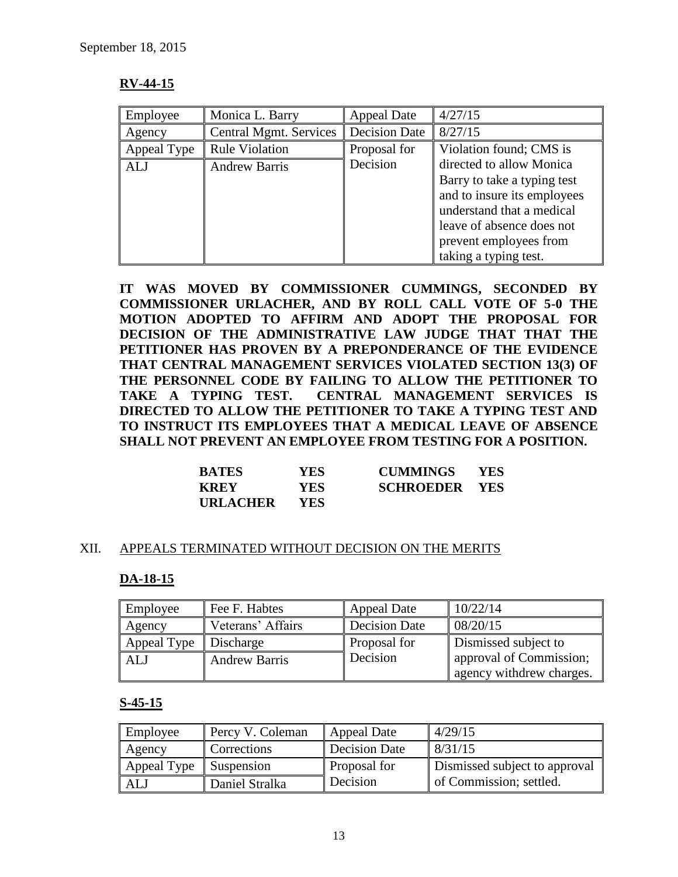## **RV-44-15**

| Employee    | Monica L. Barry               | <b>Appeal Date</b> | 4/27/15                     |
|-------------|-------------------------------|--------------------|-----------------------------|
| Agency      | <b>Central Mgmt. Services</b> | Decision Date      | 8/27/15                     |
| Appeal Type | <b>Rule Violation</b>         | Proposal for       | Violation found; CMS is     |
| ALJ         | <b>Andrew Barris</b>          | Decision           | directed to allow Monica    |
|             |                               |                    | Barry to take a typing test |
|             |                               |                    | and to insure its employees |
|             |                               |                    | understand that a medical   |
|             |                               |                    | leave of absence does not   |
|             |                               |                    | prevent employees from      |
|             |                               |                    | taking a typing test.       |

**IT WAS MOVED BY COMMISSIONER CUMMINGS, SECONDED BY COMMISSIONER URLACHER, AND BY ROLL CALL VOTE OF 5-0 THE MOTION ADOPTED TO AFFIRM AND ADOPT THE PROPOSAL FOR DECISION OF THE ADMINISTRATIVE LAW JUDGE THAT THAT THE PETITIONER HAS PROVEN BY A PREPONDERANCE OF THE EVIDENCE THAT CENTRAL MANAGEMENT SERVICES VIOLATED SECTION 13(3) OF THE PERSONNEL CODE BY FAILING TO ALLOW THE PETITIONER TO TAKE A TYPING TEST. CENTRAL MANAGEMENT SERVICES IS DIRECTED TO ALLOW THE PETITIONER TO TAKE A TYPING TEST AND TO INSTRUCT ITS EMPLOYEES THAT A MEDICAL LEAVE OF ABSENCE SHALL NOT PREVENT AN EMPLOYEE FROM TESTING FOR A POSITION.**

| <b>BATES</b>    | YES.       | <b>CUMMINGS</b>      | <b>YES</b> |
|-----------------|------------|----------------------|------------|
| <b>KREY</b>     | <b>YES</b> | <b>SCHROEDER YES</b> |            |
| <b>URLACHER</b> | YES.       |                      |            |

#### XII. APPEALS TERMINATED WITHOUT DECISION ON THE MERITS

#### **DA-18-15**

| Employee    | Fee F. Habtes        | <b>Appeal Date</b>  | 10/22/14                 |
|-------------|----------------------|---------------------|--------------------------|
| Agency      | Veterans' Affairs    | Decision Date       | 08/20/15                 |
| Appeal Type | Discharge            | <b>Proposal for</b> | Dismissed subject to     |
| <b>ALJ</b>  | <b>Andrew Barris</b> | Decision            | approval of Commission;  |
|             |                      |                     | agency withdrew charges. |

#### **S-45-15**

| Employee    | Percy V. Coleman | Appeal Date         | 4/29/15                       |
|-------------|------------------|---------------------|-------------------------------|
| Agency      | Corrections      | Decision Date       | 8/31/15                       |
| Appeal Type | Suspension       | <b>Proposal for</b> | Dismissed subject to approval |
| ALJ         | Daniel Stralka   | Decision            | of Commission; settled.       |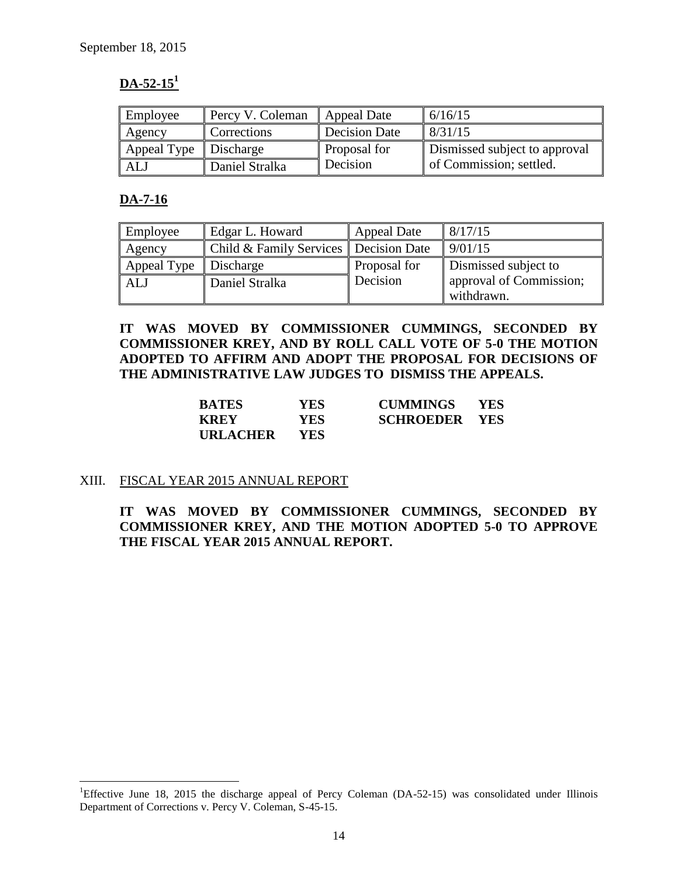## **DA-52-15<sup>1</sup>**

| Employee    | Percy V. Coleman | <b>Appeal Date</b> | 6/16/15                       |
|-------------|------------------|--------------------|-------------------------------|
| Agency      | Corrections      | Decision Date      | $\frac{18}{31/15}$            |
| Appeal Type | Discharge        | Proposal for       | Dismissed subject to approval |
| ALJ         | Daniel Stralka   | Decision           | of Commission; settled.       |

## **DA-7-16**

 $\overline{a}$ 

| Employee    | Edgar L. Howard                         | Appeal Date  | 8/17/15                 |
|-------------|-----------------------------------------|--------------|-------------------------|
| Agency      | Child & Family Services   Decision Date |              | 9/01/15                 |
| Appeal Type | Discharge                               | Proposal for | Dismissed subject to    |
| <b>ALJ</b>  | Daniel Stralka                          | Decision     | approval of Commission; |
|             |                                         |              | withdrawn.              |

**IT WAS MOVED BY COMMISSIONER CUMMINGS, SECONDED BY COMMISSIONER KREY, AND BY ROLL CALL VOTE OF 5-0 THE MOTION ADOPTED TO AFFIRM AND ADOPT THE PROPOSAL FOR DECISIONS OF THE ADMINISTRATIVE LAW JUDGES TO DISMISS THE APPEALS.** 

| <b>BATES</b>    | YES.       | <b>CUMMINGS</b>      | - YES |
|-----------------|------------|----------------------|-------|
| <b>KREY</b>     | <b>YES</b> | <b>SCHROEDER YES</b> |       |
| <b>URLACHER</b> | <b>YES</b> |                      |       |

## XIII. FISCAL YEAR 2015 ANNUAL REPORT

**IT WAS MOVED BY COMMISSIONER CUMMINGS, SECONDED BY COMMISSIONER KREY, AND THE MOTION ADOPTED 5-0 TO APPROVE THE FISCAL YEAR 2015 ANNUAL REPORT.**

<sup>&</sup>lt;sup>1</sup>Effective June 18, 2015 the discharge appeal of Percy Coleman (DA-52-15) was consolidated under Illinois Department of Corrections v. Percy V. Coleman, S-45-15.